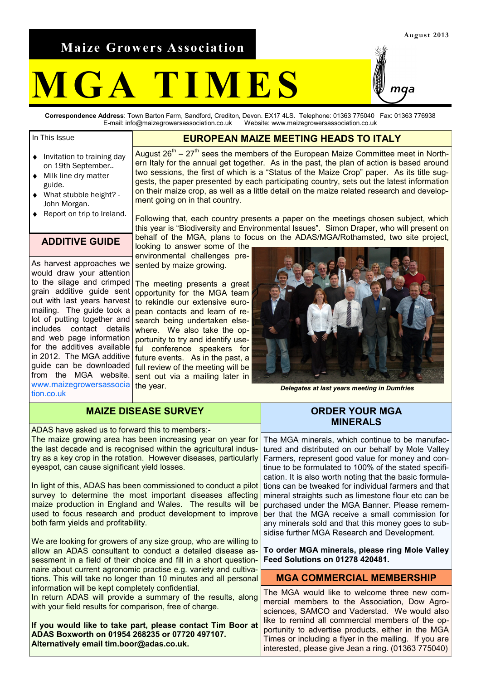**Maize Growers Association**

# **M G A T I M E S**

**Correspondence Address**: Town Barton Farm, Sandford, Crediton, Devon. EX17 4LS. Telephone: 01363 775040 Fax: 01363 776938 E-mail: info@maizegrowersassociation.co.uk Website: www.maizegrowersassociation.co.uk

## In This Issue

- Invitation to training day  $\bullet$ on 19th September..
- Milk line dry matter  $\blacktriangle$ guide.
- What stubble height? John Morgan.
- Report on trip to Ireland.  $\blacktriangle$

#### **ADDITIVE GUIDE**

As harvest approaches we would draw your attention to the silage and crimped grain additive guide sent out with last years harvest mailing. The guide took a lot of putting together and includes contact details and web page information in 2012. The MGA additive guide can be downloaded from the MGA website. www.maizegrowersassocia tion.co.uk

#### **EUROPEAN MAIZE MEETING HEADS TO ITALY**

August  $26<sup>th</sup> - 27<sup>th</sup>$  sees the members of the European Maize Committee meet in Northern Italy for the annual get together. As in the past, the plan of action is based around two sessions, the first of which is a "Status of the Maize Crop" paper. As its title suggests, the paper presented by each participating country, sets out the latest information on their maize crop, as well as a little detail on the maize related research and development going on in that country.

Following that, each country presents a paper on the meetings chosen subject, which this year is "Biodiversity and Environmental Issues". Simon Draper, who will present on behalf of the MGA, plans to focus on the ADAS/MGA/Rothamsted, two site project,

looking to answer some of the environmental challenges presented by maize growing.

The meeting presents a great opportunity for the MGA team to rekindle our extensive european contacts and learn of research being undertaken elsewhere. We also take the opportunity to try and identify usefor the additives available  $f_{\text{tul}}$  conference speakers for future events. As in the past, a full review of the meeting will be sent out via a mailing later in the year.

*Delegates at last years meeting in Dumfries*

| <b>MAIZE DISEASE SURVEY</b>                                                                                                                                                                                                                                                                             | <b>ORDER YOUR MGA</b><br><b>MINERALS</b>                                                                                                                                                                                                                                                                                                                                          |
|---------------------------------------------------------------------------------------------------------------------------------------------------------------------------------------------------------------------------------------------------------------------------------------------------------|-----------------------------------------------------------------------------------------------------------------------------------------------------------------------------------------------------------------------------------------------------------------------------------------------------------------------------------------------------------------------------------|
| ADAS have asked us to forward this to members:-<br>The maize growing area has been increasing year on year for<br>the last decade and is recognised within the agricultural indus-<br>try as a key crop in the rotation. However diseases, particularly<br>eyespot, can cause significant yield losses. | The MGA minerals, which continue to be manufac-<br>tured and distributed on our behalf by Mole Valley<br>Farmers, represent good value for money and con-<br>tinue to be formulated to 100% of the stated specifi-                                                                                                                                                                |
| In light of this, ADAS has been commissioned to conduct a pilot<br>survey to determine the most important diseases affecting<br>maize production in England and Wales. The results will be<br>used to focus research and product development to improve<br>both farm yields and profitability.          | cation. It is also worth noting that the basic formula-<br>tions can be tweaked for individual farmers and that<br>mineral straights such as limestone flour etc can be<br>purchased under the MGA Banner. Please remem-<br>ber that the MGA receive a small commission for<br>any minerals sold and that this money goes to sub-<br>sidise further MGA Research and Development. |
| We are looking for growers of any size group, who are willing to<br>allow an ADAS consultant to conduct a detailed disease as-<br>sessment in a field of their choice and fill in a short question-<br>naire about current agronomic practise e.g. variety and cultiva-                                 | To order MGA minerals, please ring Mole Valley<br>Feed Solutions on 01278 420481.                                                                                                                                                                                                                                                                                                 |
| tions. This will take no longer than 10 minutes and all personal                                                                                                                                                                                                                                        | <b>MGA COMMERCIAL MEMBERSHIP</b>                                                                                                                                                                                                                                                                                                                                                  |
| information will be kept completely confidential.<br>In return ADAS will provide a summary of the results, along<br>with your field results for comparison, free of charge.                                                                                                                             | The MGA would like to welcome three new com-<br>mercial members to the Association, Dow Agro-<br>sciences, SAMCO and Vaderstad. We would also                                                                                                                                                                                                                                     |
| If you would like to take part, please contact Tim Boor at<br>ADAS Boxworth on 01954 268235 or 07720 497107.<br>Alternatively email tim.boor@adas.co.uk.                                                                                                                                                | like to remind all commercial members of the op-<br>portunity to advertise products, either in the MGA<br>Times or including a flyer in the mailing. If you are<br>interested, please give Jean a ring. (01363 775040)                                                                                                                                                            |



# **August 2013**